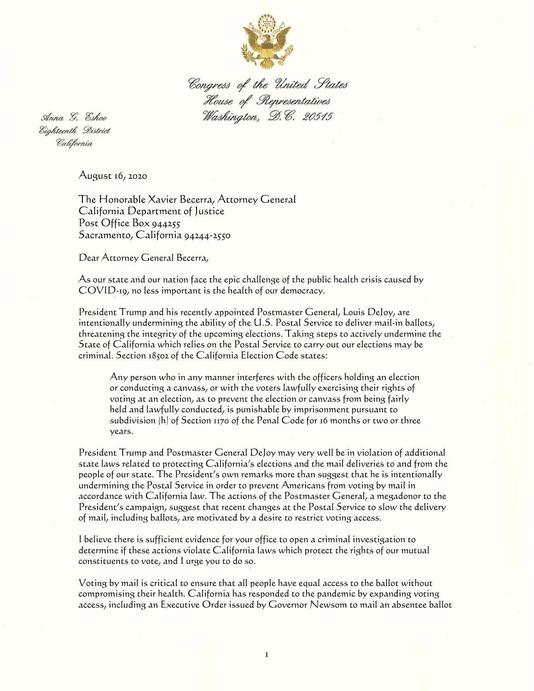

Congress of the United States House of Representatives Washington, D.C. 20515

Anna G. Eshoo Eighteenth District California

August 16, 2020

The Honorable Xavier Becerra, Attorney General California Department of Justice Post Office Box 944255 Sacramento, California 94244-2550

Dear Attorney General Becerra,

As our state and our nation face the epic challenge of the public health crisis caused by COVID-19, no less important is the health of our democracy.

President Trump and his recently appointed Postmaster General, Louis DeJoy, are intentionally undermining the ability of the U.S. Postal Service to deliver mail-in ballots, threatening the integrity of the upcoming elections. Taking steps to actively undermine the State of California which relies on the Postal Service to carry out our elections may be criminal. Section 18502 of the California Election Code states:

Any person who in any manner interferes with the officers holding an election or conducting a canvass, or with the voters lawfully exercising their rights of voting at an election, as to prevent the election or canvass from being fairly held and lawfully conducted, is punishable by imprisonment pursuant to subdivision (h) of Section 1170 of the Penal Code for 16 months or two or three years.

President Trump and Postmaster General DeJoy may very well be in violation of additional state laws related to protecting California's elections and the mail deliveries to and from the people of our state. The President's own remarks more than suggest that he is intentionally undermining the Postal Service in order to prevent Americans from voting by mail in accordance with California law. The actions of the Postmaster General, a megadonor to the President's campaign, suggest that recent changes at the Postal Service to slow the delivery of mail, including ballots, are motivated by a desire to restrict voting access.

I believe there is sufficient evidence for your office to open a criminal investigation to determine if these actions violate California laws which protect the rights of our mutual constituents to vote, and I urge you to do so.

Voting by mail is critical to ensure that all people have equal access to the ballot without compromising their health. California has responded to the pandemic by expanding voting access, including an Executive Order issued by Governor Newsom to mail an absentee ballot